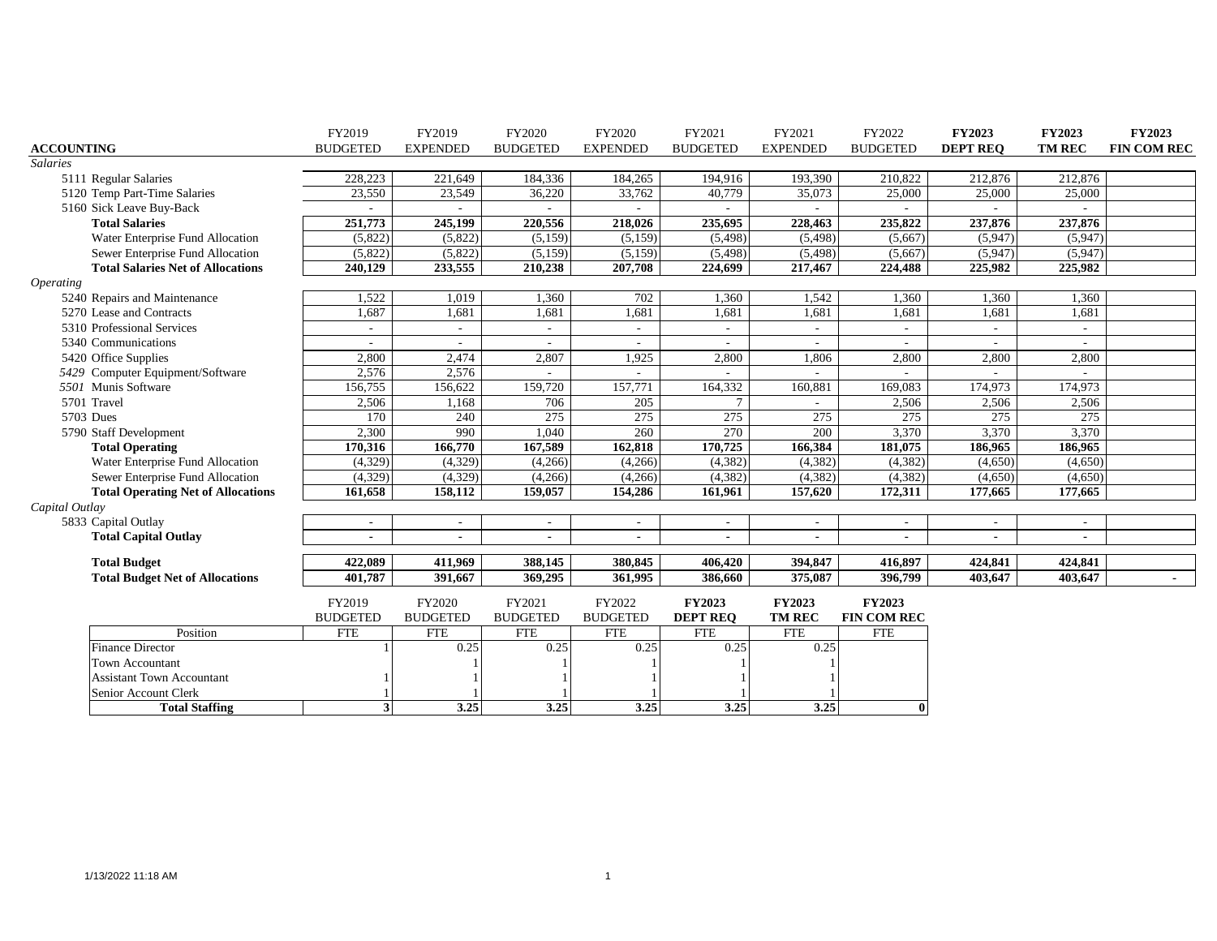|                                           | FY2019                   | FY2019          | FY2020                   | FY2020                   | FY2021                   | FY2021          | FY2022             | <b>FY2023</b>   | <b>FY2023</b>            | <b>FY2023</b>      |
|-------------------------------------------|--------------------------|-----------------|--------------------------|--------------------------|--------------------------|-----------------|--------------------|-----------------|--------------------------|--------------------|
| <b>ACCOUNTING</b>                         | <b>BUDGETED</b>          | <b>EXPENDED</b> | <b>BUDGETED</b>          | <b>EXPENDED</b>          | <b>BUDGETED</b>          | <b>EXPENDED</b> | <b>BUDGETED</b>    | <b>DEPT REQ</b> | <b>TM REC</b>            | <b>FIN COM REC</b> |
| <b>Salaries</b>                           |                          |                 |                          |                          |                          |                 |                    |                 |                          |                    |
| 5111 Regular Salaries                     | 228,223                  | 221,649         | 184,336                  | 184,265                  | 194,916                  | 193,390         | 210,822            | 212,876         | 212,876                  |                    |
| 5120 Temp Part-Time Salaries              | 23,550                   | 23,549          | 36,220                   | 33,762                   | 40,779                   | 35,073          | 25,000             | 25,000          | 25,000                   |                    |
| 5160 Sick Leave Buy-Back                  |                          |                 |                          |                          |                          |                 |                    |                 |                          |                    |
| <b>Total Salaries</b>                     | 251,773                  | 245,199         | 220,556                  | 218,026                  | 235,695                  | 228,463         | 235,822            | 237,876         | 237,876                  |                    |
| Water Enterprise Fund Allocation          | (5,822)                  | (5,822)         | (5, 159)                 | (5,159)                  | (5,498)                  | (5, 498)        | (5,667)            | (5,947)         | (5,947)                  |                    |
| Sewer Enterprise Fund Allocation          | (5,822)                  | (5,822)         | (5, 159)                 | (5,159)                  | (5, 498)                 | (5, 498)        | (5,667)            | (5,947)         | (5,947)                  |                    |
| <b>Total Salaries Net of Allocations</b>  | 240,129                  | 233,555         | 210,238                  | 207,708                  | 224,699                  | 217,467         | 224,488            | 225,982         | 225,982                  |                    |
| <i><b>Operating</b></i>                   |                          |                 |                          |                          |                          |                 |                    |                 |                          |                    |
| 5240 Repairs and Maintenance              | 1,522                    | 1,019           | 1,360                    | 702                      | 1,360                    | 1,542           | 1,360              | 1,360           | 1,360                    |                    |
| 5270 Lease and Contracts                  | 1,687                    | 1,681           | 1,681                    | 1,681                    | 1,681                    | 1,681           | 1,681              | 1,681           | 1,681                    |                    |
| 5310 Professional Services                | $\overline{\phantom{a}}$ | $\sim$          | $\overline{\phantom{a}}$ | $\overline{\phantom{a}}$ | $\overline{\phantom{a}}$ | $\sim$          | $\sim$             |                 | $\overline{\phantom{a}}$ |                    |
| 5340 Communications                       |                          |                 |                          |                          |                          |                 |                    |                 |                          |                    |
| 5420 Office Supplies                      | 2,800                    | 2,474           | 2,807                    | 1,925                    | 2,800                    | 1,806           | 2,800              | 2,800           | 2,800                    |                    |
| 5429 Computer Equipment/Software          | 2,576                    | 2,576           |                          |                          |                          |                 |                    |                 |                          |                    |
| 5501 Munis Software                       | 156,755                  | 156,622         | 159,720                  | 157,771                  | 164,332                  | 160,881         | 169,083            | 174,973         | 174,973                  |                    |
| 5701 Travel                               | 2,506                    | 1,168           | 706                      | 205                      |                          |                 | 2,506              | 2,506           | 2,506                    |                    |
| 5703 Dues                                 | 170                      | 240             | 275                      | 275                      | 275                      | 275             | 275                | 275             | 275                      |                    |
| 5790 Staff Development                    | 2,300                    | 990             | 1,040                    | 260                      | 270                      | 200             | 3,370              | 3,370           | 3,370                    |                    |
| <b>Total Operating</b>                    | 170,316                  | 166,770         | 167,589                  | 162,818                  | 170,725                  | 166,384         | 181,075            | 186,965         | 186,965                  |                    |
| Water Enterprise Fund Allocation          | (4, 329)                 | (4, 329)        | (4,266)                  | (4,266)                  | (4, 382)                 | (4, 382)        | (4,382)            | (4,650)         | (4,650)                  |                    |
| Sewer Enterprise Fund Allocation          | (4,329)                  | (4,329)         | (4,266)                  | (4,266)                  | (4, 382)                 | (4, 382)        | (4,382)            | (4,650)         | (4,650)                  |                    |
| <b>Total Operating Net of Allocations</b> | 161,658                  | 158,112         | 159,057                  | 154,286                  | 161,961                  | 157,620         | 172,311            | 177,665         | 177,665                  |                    |
| Capital Outlay                            |                          |                 |                          |                          |                          |                 |                    |                 |                          |                    |
| 5833 Capital Outlay                       | $\sim$                   | $\sim$          | $\overline{\phantom{a}}$ | $\overline{\phantom{a}}$ | $\overline{\phantom{a}}$ | $\sim$          | $\sim$             | $\sim$          |                          |                    |
| <b>Total Capital Outlay</b>               |                          |                 |                          | $\blacksquare$           |                          |                 |                    |                 |                          |                    |
| <b>Total Budget</b>                       | 422,089                  | 411,969         | 388,145                  | 380,845                  | 406,420                  | 394,847         | 416,897            | 424,841         | 424,841                  |                    |
| <b>Total Budget Net of Allocations</b>    | 401,787                  | 391,667         | 369,295                  | 361,995                  | 386,660                  | 375,087         | 396,799            | 403,647         | 403,647                  |                    |
|                                           | FY2019                   | FY2020          | FY2021                   | FY2022                   | <b>FY2023</b>            | <b>FY2023</b>   | <b>FY2023</b>      |                 |                          |                    |
|                                           | <b>BUDGETED</b>          | <b>BUDGETED</b> | <b>BUDGETED</b>          | <b>BUDGETED</b>          | <b>DEPT REO</b>          | <b>TM REC</b>   | <b>FIN COM REC</b> |                 |                          |                    |
| Position                                  | <b>FTE</b>               | <b>FTE</b>      | <b>FTE</b>               | <b>FTE</b>               | <b>FTE</b>               | <b>FTE</b>      | <b>FTE</b>         |                 |                          |                    |
| <b>Finance Director</b>                   |                          | 0.25            | 0.25                     | 0.25                     | 0.25                     | 0.25            |                    |                 |                          |                    |
| <b>Town Accountant</b>                    |                          |                 |                          |                          |                          |                 |                    |                 |                          |                    |
| <b>Assistant Town Accountant</b>          |                          |                 |                          |                          |                          |                 |                    |                 |                          |                    |
| Senior Account Clerk                      |                          |                 |                          |                          |                          |                 |                    |                 |                          |                    |
| <b>Total Staffing</b>                     |                          | 3.25            | 3.25                     | 3.25                     | 3.25                     | 3.25            | $\bf{0}$           |                 |                          |                    |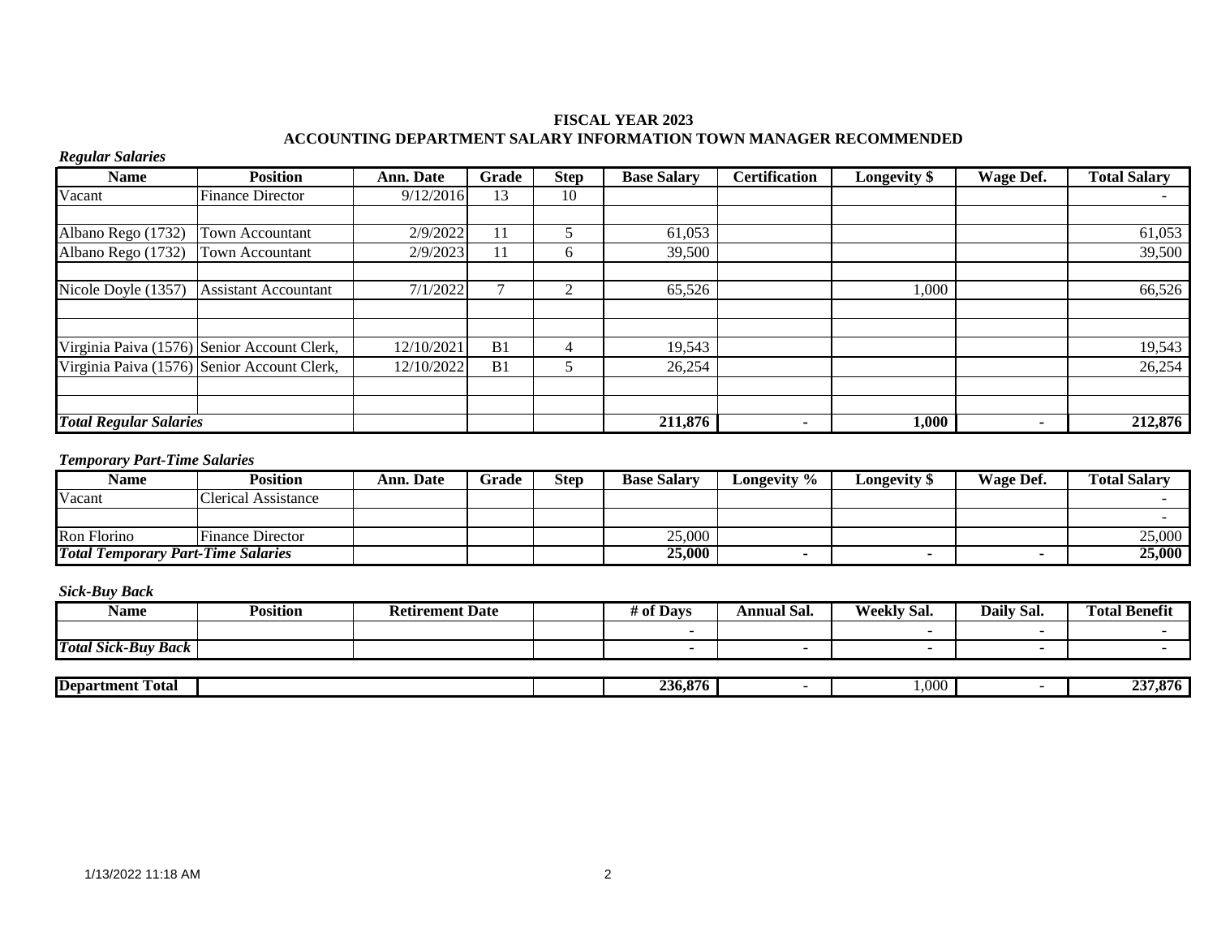### **FISCAL YEAR 2023 ACCOUNTING DEPARTMENT SALARY INFORMATION TOWN MANAGER RECOMMENDED**

# *Regular Salaries*

| <b>Name</b>                   | <b>Position</b>                             | <b>Ann. Date</b> | Grade          | <b>Step</b> | <b>Base Salary</b> | <b>Certification</b> | <b>Longevity</b> \$ | Wage Def. | <b>Total Salary</b> |
|-------------------------------|---------------------------------------------|------------------|----------------|-------------|--------------------|----------------------|---------------------|-----------|---------------------|
| Vacant                        | <b>Finance Director</b>                     | 9/12/2016        | 13             | 10          |                    |                      |                     |           |                     |
|                               |                                             |                  |                |             |                    |                      |                     |           |                     |
| Albano Rego (1732)            | Town Accountant                             | 2/9/2022         |                |             | 61,053             |                      |                     |           | 61,053              |
| Albano Rego (1732)            | Town Accountant                             | 2/9/2023         | 11             | h.          | 39,500             |                      |                     |           | 39,500              |
|                               |                                             |                  |                |             |                    |                      |                     |           |                     |
| Nicole Doyle (1357)           | <b>Assistant Accountant</b>                 | 7/1/2022         |                |             | 65,526             |                      | 000,1               |           | 66,526              |
|                               |                                             |                  |                |             |                    |                      |                     |           |                     |
|                               |                                             |                  |                |             |                    |                      |                     |           |                     |
|                               | Virginia Paiva (1576) Senior Account Clerk, | 12/10/2021       | B <sub>1</sub> |             | 19,543             |                      |                     |           | 19,543              |
|                               | Virginia Paiva (1576) Senior Account Clerk, | 12/10/2022       | B <sub>1</sub> |             | 26,254             |                      |                     |           | 26,254              |
|                               |                                             |                  |                |             |                    |                      |                     |           |                     |
|                               |                                             |                  |                |             |                    |                      |                     |           |                     |
| <b>Total Regular Salaries</b> |                                             |                  |                |             | 211,876            |                      | 1,000               |           | 212,876             |

#### *Temporary Part-Time Salaries*

| Name                                      | <b>Position</b>            | Ann. Date | Grade | <b>Step</b> | <b>Base Salary</b> | Longevity % | <b>Longevity</b> \$ | Wage Def. | <b>Total Salarv</b> |
|-------------------------------------------|----------------------------|-----------|-------|-------------|--------------------|-------------|---------------------|-----------|---------------------|
| Vacant                                    | <b>Clerical Assistance</b> |           |       |             |                    |             |                     |           |                     |
|                                           |                            |           |       |             |                    |             |                     |           |                     |
| Ron Florino                               | <b>Finance Director</b>    |           |       |             | 25,000             |             |                     |           | 25,000              |
| <b>Total Temporary Part-Time Salaries</b> |                            |           |       |             | 25,000             |             |                     |           | 25,000              |

| Name                       | <b>Position</b> | <b>Retirement Date</b> | <b>Davs</b><br># ot | $\mathbf{r}$<br>Annual Sal. | <b>Weekly Sal.</b> | Daily Sal. | m<br><b>Total Benefit</b> |
|----------------------------|-----------------|------------------------|---------------------|-----------------------------|--------------------|------------|---------------------------|
|                            |                 |                        |                     |                             |                    |            |                           |
| <b>Total Sick-Buy Back</b> |                 |                        |                     |                             |                    |            |                           |

| -<br><b>Department</b><br>Fotal |  | 36.8.<br>876 | $\sim$ $\sim$ $\sim$ | $\sim$<br>7.070 |
|---------------------------------|--|--------------|----------------------|-----------------|
|                                 |  |              |                      |                 |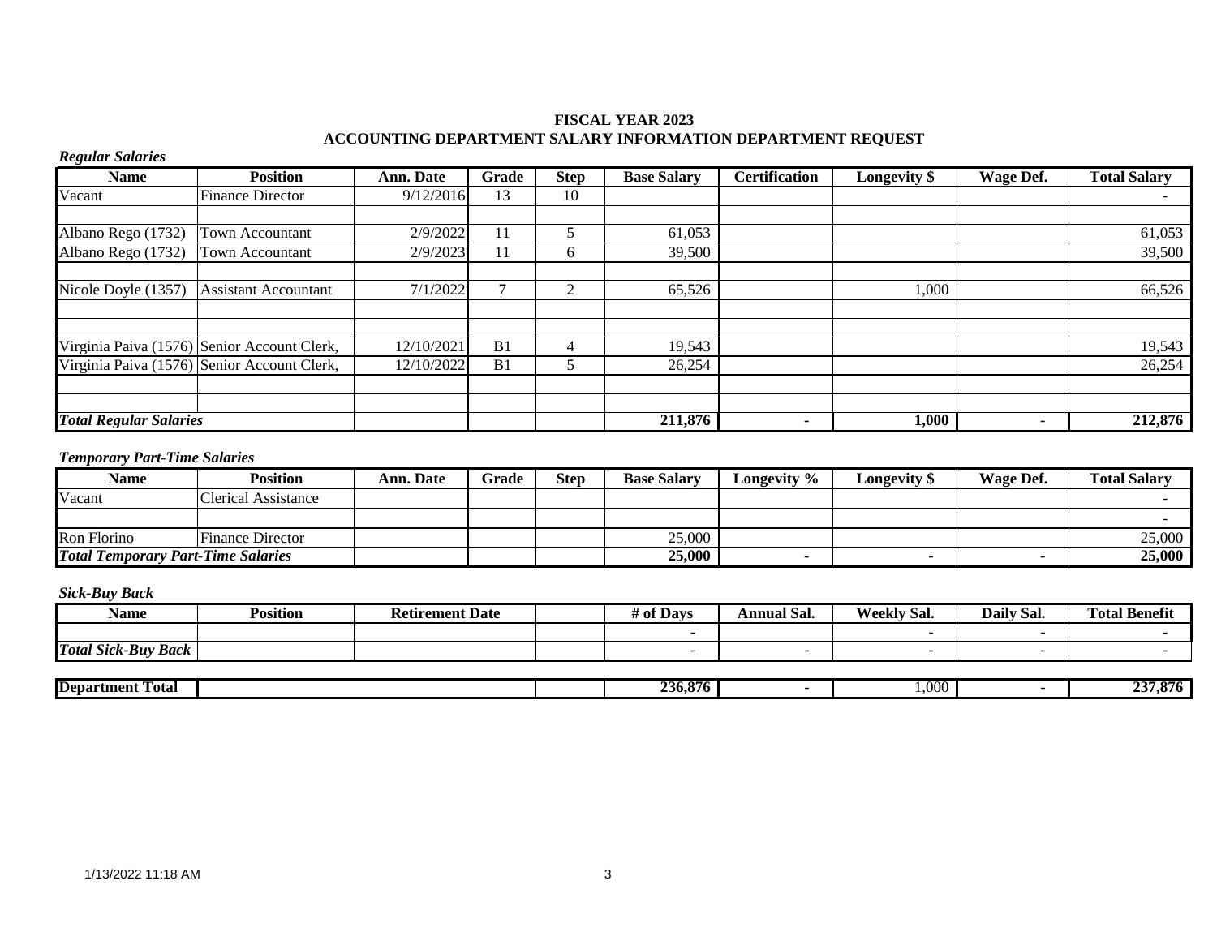### **FISCAL YEAR 2023 ACCOUNTING DEPARTMENT SALARY INFORMATION DEPARTMENT REQUEST**

# *Regular Salaries*

| <b>Name</b>                   | <b>Position</b>                             | Ann. Date  | Grade          | <b>Step</b>  | <b>Base Salary</b> | <b>Certification</b> | <b>Longevity</b> \$ | Wage Def. | <b>Total Salary</b> |
|-------------------------------|---------------------------------------------|------------|----------------|--------------|--------------------|----------------------|---------------------|-----------|---------------------|
| Vacant                        | <b>Finance Director</b>                     | 9/12/2016  | 13             | 10           |                    |                      |                     |           |                     |
|                               |                                             |            |                |              |                    |                      |                     |           |                     |
| Albano Rego (1732)            | Town Accountant                             | 2/9/2022   |                |              | 61,053             |                      |                     |           | 61,053              |
| Albano Rego (1732)            | <b>Town Accountant</b>                      | 2/9/2023   | 11             | <sub>0</sub> | 39,500             |                      |                     |           | 39,500              |
| Nicole Doyle (1357)           | <b>Assistant Accountant</b>                 | 7/1/2022   |                | ◠            | 65,526             |                      | 1,000               |           | 66,526              |
|                               |                                             |            |                |              |                    |                      |                     |           |                     |
|                               | Virginia Paiva (1576) Senior Account Clerk, | 12/10/2021 | B <sub>1</sub> |              | 19,543             |                      |                     |           | 19,543              |
|                               | Virginia Paiva (1576) Senior Account Clerk, | 12/10/2022 | B <sub>1</sub> |              | 26,254             |                      |                     |           | 26,254              |
|                               |                                             |            |                |              |                    |                      |                     |           |                     |
|                               |                                             |            |                |              |                    |                      |                     |           |                     |
| <b>Total Regular Salaries</b> |                                             |            |                |              | 211,876            | $\blacksquare$       | 1,000               |           | 212,876             |

# *Temporary Part-Time Salaries*

| <b>Name</b>                               | <b>Position</b>         | Ann. Date | Grade | <b>Step</b> | <b>Base Salary</b> | Longevity % | <b>Longevity</b> \$ | Wage Def. | <b>Total Salary</b> |
|-------------------------------------------|-------------------------|-----------|-------|-------------|--------------------|-------------|---------------------|-----------|---------------------|
| Vacant                                    | Clerical Assistance     |           |       |             |                    |             |                     |           |                     |
|                                           |                         |           |       |             |                    |             |                     |           |                     |
| Ron Florino                               | <b>Finance Director</b> |           |       |             | 25,000             |             |                     |           | 25,000              |
| <b>Total Temporary Part-Time Salaries</b> |                         |           |       |             | 25,000             |             |                     |           | 25,000              |

| Name                       | <b>Position</b> | <b>Retirement Date</b> | f Days<br># of | - -<br>Annual Sal. | <b>Weekly Sal.</b> | Daily Sal. | <b>Total Benefit</b> |
|----------------------------|-----------------|------------------------|----------------|--------------------|--------------------|------------|----------------------|
|                            |                 |                        |                |                    |                    |            |                      |
| <b>Total Sick-Buy Back</b> |                 |                        |                |                    |                    |            |                      |

| <b>Department</b><br>-<br>. otal | O.<br>$\sim$ $\sim$ $\sim$<br>76<br>**6. | .000. | . .<br>,,<br><br>-- |
|----------------------------------|------------------------------------------|-------|---------------------|
|                                  |                                          |       |                     |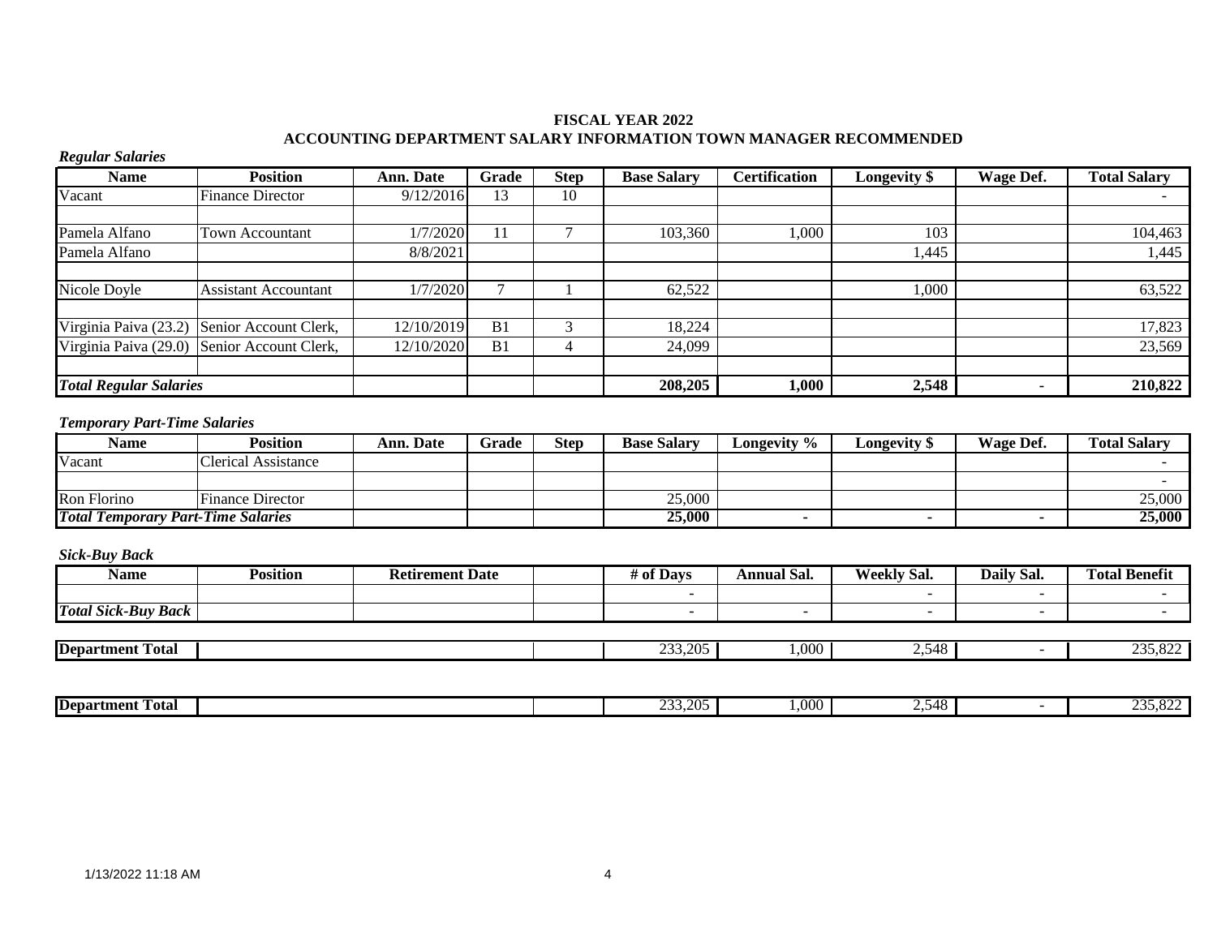### **FISCAL YEAR 2022 ACCOUNTING DEPARTMENT SALARY INFORMATION TOWN MANAGER RECOMMENDED**

# *Regular Salaries*

| <b>Name</b>                   | <b>Position</b>                             | <b>Ann. Date</b> | Grade          | <b>Step</b> | <b>Base Salary</b> | <b>Certification</b> | Longevity \$ | Wage Def. | <b>Total Salary</b> |
|-------------------------------|---------------------------------------------|------------------|----------------|-------------|--------------------|----------------------|--------------|-----------|---------------------|
| Vacant                        | <b>Finance Director</b>                     | 9/12/2016        | 13             | 10          |                    |                      |              |           |                     |
|                               |                                             |                  |                |             |                    |                      |              |           |                     |
| Pamela Alfano                 | Town Accountant                             | 1/7/2020         | 11             |             | 103,360            | 000,                 | 103          |           | 104,463             |
| Pamela Alfano                 |                                             | 8/8/2021         |                |             |                    |                      | 1,445        |           | 1,445               |
|                               |                                             |                  |                |             |                    |                      |              |           |                     |
| Nicole Doyle                  | <b>Assistant Accountant</b>                 | 1/7/2020         |                |             | 62,522             |                      | .000         |           | 63,522              |
|                               |                                             |                  |                |             |                    |                      |              |           |                     |
|                               | Virginia Paiva (23.2) Senior Account Clerk, | 12/10/2019       | B <sub>1</sub> |             | 18,224             |                      |              |           | 17,823              |
|                               | Virginia Paiva (29.0) Senior Account Clerk, | 12/10/2020       | B <sub>1</sub> |             | 24,099             |                      |              |           | 23,569              |
|                               |                                             |                  |                |             |                    |                      |              |           |                     |
| <b>Total Regular Salaries</b> |                                             |                  |                |             | 208,205            | 1,000                | 2,548        |           | 210,822             |

### *Temporary Part-Time Salaries*

| Name                                      | <b>Position</b>         | Ann. Date | Grade | <b>Step</b> | <b>Base Salary</b> | Longevity % | Longevity \$ | Wage Def. | <b>Total Salary</b> |
|-------------------------------------------|-------------------------|-----------|-------|-------------|--------------------|-------------|--------------|-----------|---------------------|
| Vacant                                    | Clerical Assistance     |           |       |             |                    |             |              |           |                     |
|                                           |                         |           |       |             |                    |             |              |           |                     |
| Ron Florino                               | <b>Finance Director</b> |           |       |             | 25,000             |             |              |           | 25,000              |
| <b>Total Temporary Part-Time Salaries</b> |                         |           |       |             | 25,000             |             |              |           | 25,000              |

| Name                       | <b>Position</b> | <b>Retirement Date</b> | # of Davs | <b>Annual Sal.</b> | <b>Weekly Sal.</b> | Daily Sal. | <b>Total Benefit</b> |
|----------------------------|-----------------|------------------------|-----------|--------------------|--------------------|------------|----------------------|
|                            |                 |                        |           |                    |                    |            |                      |
| <b>Total Sick-Buy Back</b> |                 |                        |           |                    | -                  |            |                      |
|                            |                 |                        |           |                    |                    |            |                      |

| <b>Department</b><br>`otal |  | $\sim$<br>.205 | .000. | $\Lambda$<br>$\prime$ . $\prime$<br>тı | 0.022<br>$\Delta$<br>. <i>.</i> |
|----------------------------|--|----------------|-------|----------------------------------------|---------------------------------|
|                            |  |                |       |                                        |                                 |

| <b>Department</b><br>-<br>Total |  | $\sim$<br>ററട<br>--- | .000. | $\overline{1}$<br>77 L<br>سو | $\Omega$<br>$\sim$<br>, , , , , , , |
|---------------------------------|--|----------------------|-------|------------------------------|-------------------------------------|
|                                 |  |                      |       |                              |                                     |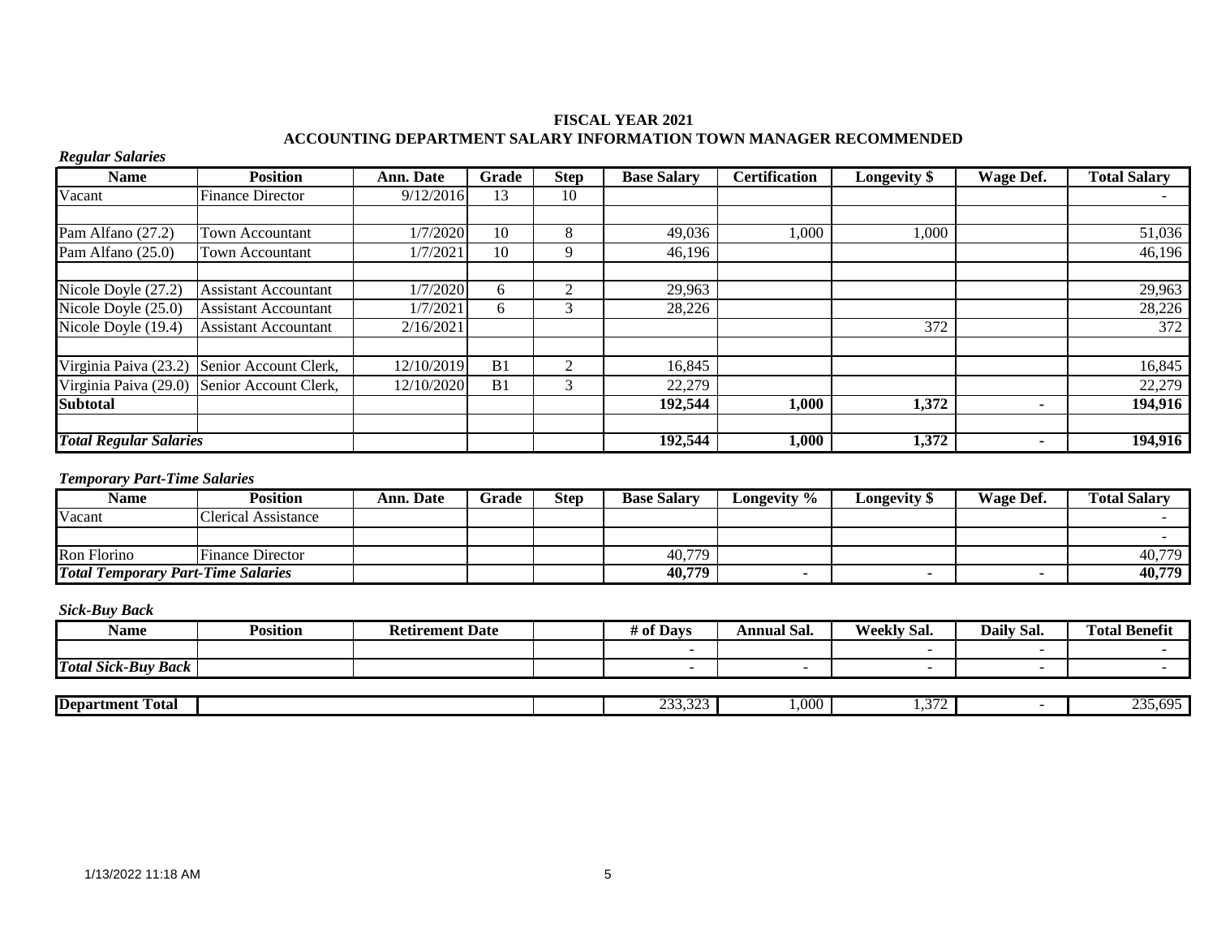### **FISCAL YEAR 2021 ACCOUNTING DEPARTMENT SALARY INFORMATION TOWN MANAGER RECOMMENDED**

# *Regular Salaries*

| <b>Name</b>                   | <b>Position</b>                             | <b>Ann. Date</b> | Grade          | <b>Step</b>  | <b>Base Salary</b> | <b>Certification</b> | <b>Longevity</b> \$ | Wage Def. | <b>Total Salary</b> |
|-------------------------------|---------------------------------------------|------------------|----------------|--------------|--------------------|----------------------|---------------------|-----------|---------------------|
| Vacant                        | <b>Finance Director</b>                     | 9/12/2016        | 13             | 10           |                    |                      |                     |           |                     |
|                               |                                             |                  |                |              |                    |                      |                     |           |                     |
| Pam Alfano (27.2)             | <b>Town Accountant</b>                      | 1/7/2020         | 10             | 8            | 49,036             | 1,000                | 1,000               |           | 51,036              |
| Pam Alfano (25.0)             | <b>Town Accountant</b>                      | 1/7/2021         | 10             | $\mathbf{Q}$ | 46,196             |                      |                     |           | 46,196              |
|                               |                                             |                  |                |              |                    |                      |                     |           |                     |
| Nicole Doyle (27.2)           | <b>Assistant Accountant</b>                 | 1/7/2020         | 6              | $\sim$       | 29,963             |                      |                     |           | 29,963              |
| Nicole Doyle (25.0)           | <b>Assistant Accountant</b>                 | 1/7/2021         | 6              |              | 28,226             |                      |                     |           | 28,226              |
| Nicole Doyle (19.4)           | <b>Assistant Accountant</b>                 | 2/16/2021        |                |              |                    |                      | 372                 |           | 372                 |
|                               | Virginia Paiva (23.2) Senior Account Clerk, | 12/10/2019       | B <sub>1</sub> |              | 16,845             |                      |                     |           | 16,845              |
|                               | Virginia Paiva (29.0) Senior Account Clerk, | 12/10/2020       | B <sub>1</sub> |              | 22,279             |                      |                     |           | 22,279              |
| <b>Subtotal</b>               |                                             |                  |                |              | 192,544            | 1,000                | 1,372               |           | 194,916             |
| <b>Total Regular Salaries</b> |                                             |                  |                |              | 192,544            | 1,000                | 1,372               |           | 194,916             |
|                               |                                             |                  |                |              |                    |                      |                     |           |                     |

### *Temporary Part-Time Salaries*

| <b>Name</b>                               | <b>Position</b>         | Ann. Date | Grade | <b>Step</b> | <b>Base Salary</b> | Longevity % | Longevity \$ | Wage Def. | <b>Total Salary</b> |
|-------------------------------------------|-------------------------|-----------|-------|-------------|--------------------|-------------|--------------|-----------|---------------------|
| Vacant                                    | Clerical Assistance     |           |       |             |                    |             |              |           |                     |
|                                           |                         |           |       |             |                    |             |              |           |                     |
| Ron Florino                               | <b>Finance Director</b> |           |       |             | 40,779             |             |              |           | 40,779              |
| <b>Total Temporary Part-Time Salaries</b> |                         |           |       |             | 40,779             |             |              |           | 40,779              |

| Name                                 | <b>Position</b> | <b>Date</b><br>Ketirement | <sup>e</sup> Davs | $\sim$<br>Annual Sal. | <b>Weekly Sal.</b> | $\sim$ $\sim$<br>Daily<br>Sal. | <b>Fotal Benefit</b><br>$\mathbf{r}$ |
|--------------------------------------|-----------------|---------------------------|-------------------|-----------------------|--------------------|--------------------------------|--------------------------------------|
|                                      |                 |                           |                   |                       |                    |                                |                                      |
| <b>Total Sick-Buy</b><br><b>Back</b> |                 |                           |                   | -                     |                    |                                |                                      |
|                                      |                 |                           |                   |                       |                    |                                |                                      |

| <b>Department</b><br>Fotal | $\sim$<br>$\sim$ | .000. | -- | $\sim$<br>. hu- |
|----------------------------|------------------|-------|----|-----------------|
|                            |                  |       |    |                 |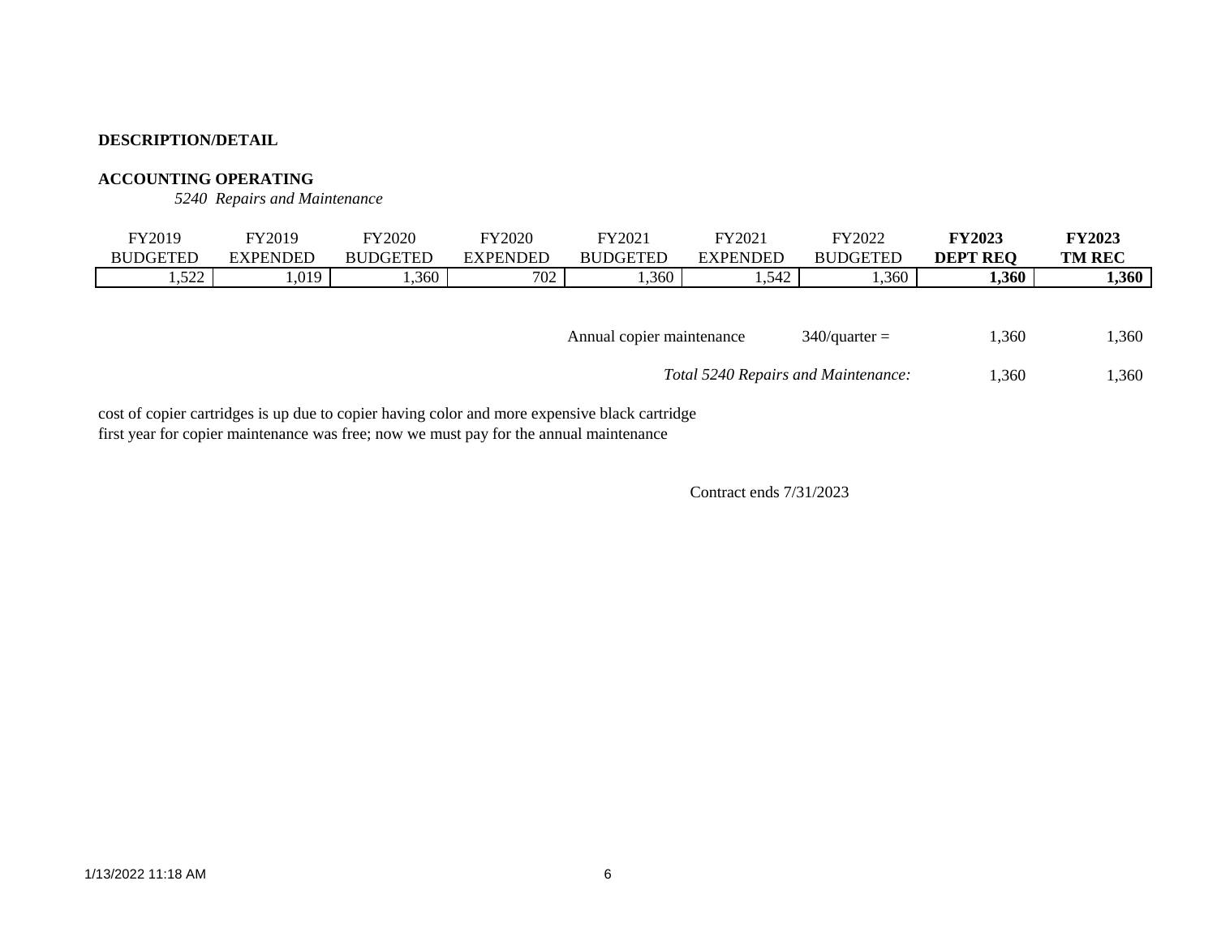# **ACCOUNTING OPERATING**

*5240 Repairs and Maintenance*

| FY2019       | FY2019                      | <b>FY2020</b>   | FY2020          | FY2021          | FY2021   | FY2022                      | <b>FY2023</b>   | <b>FY2023</b> |
|--------------|-----------------------------|-----------------|-----------------|-----------------|----------|-----------------------------|-----------------|---------------|
| BUDGETED     | <b>EXPENDED</b>             | <b>BUDGETED</b> | <b>EXPENDED</b> | <b>BUDGETED</b> | EXPENDED | <b>BUI</b><br><b>DGETED</b> | <b>DEPT REQ</b> | <b>TM REC</b> |
| 522<br>1.322 | $\bigcap$ $\bigcap$<br>しいしょ | ,360            | 700<br>/UZ      | 1,360           | 1,542    | .360                        | 1,360           | 1,360         |

|  | Annual copier maintenance | $340$ /quarter = | 1,360 | 1,360 |
|--|---------------------------|------------------|-------|-------|
|--|---------------------------|------------------|-------|-------|

 1,360 1,360 *Total 5240 Repairs and Maintenance:*

cost of copier cartridges is up due to copier having color and more expensive black cartridge first year for copier maintenance was free; now we must pay for the annual maintenance

Contract ends 7/31/2023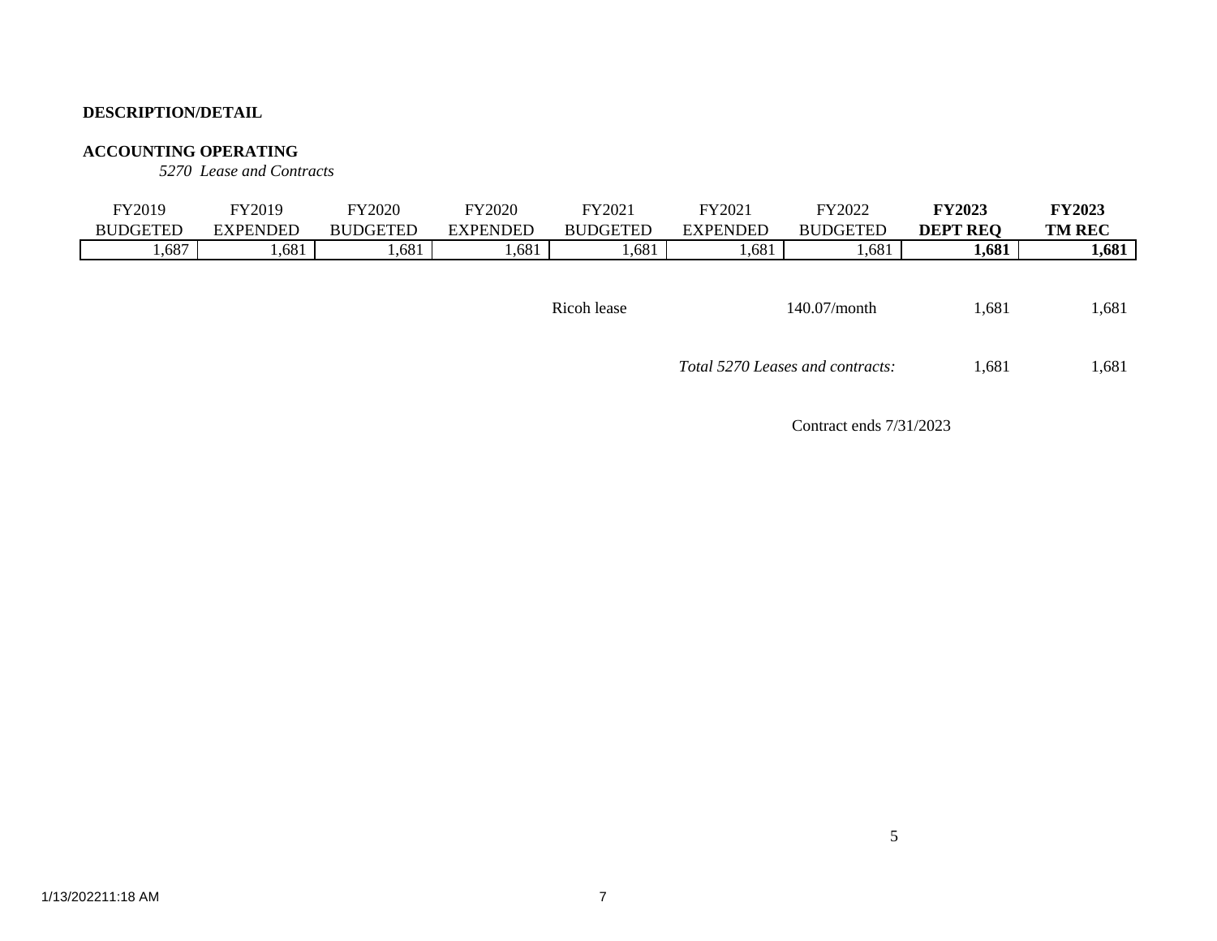### **ACCOUNTING OPERATING**

*5270 Lease and Contracts*

|                                                        | <b>TM REC</b>  | <b>DEPT</b><br>' REO | <b>BUDGETED</b> | <b>EXPENDED</b> | FY2021<br><b>BUDGETED</b> | FY2020<br>EXPENDED | Y2020<br><b>BUDGETED</b> | FY2019<br><b>EXPENDED</b> | FY2019<br><b>BUDGETED</b> |
|--------------------------------------------------------|----------------|----------------------|-----------------|-----------------|---------------------------|--------------------|--------------------------|---------------------------|---------------------------|
| .,687<br>1,681<br>,681<br>.681<br>.681<br>.681<br>.681 | 1,681<br>1,681 |                      |                 |                 |                           |                    |                          |                           |                           |
|                                                        |                |                      |                 |                 |                           |                    |                          |                           |                           |

| Ricoh lease | $140.07/m$ onth | 1,681 | 1.681 |
|-------------|-----------------|-------|-------|
|             |                 |       |       |

 1,681 1,681 *Total 5270 Leases and contracts:*

5

Contract ends 7/31/2023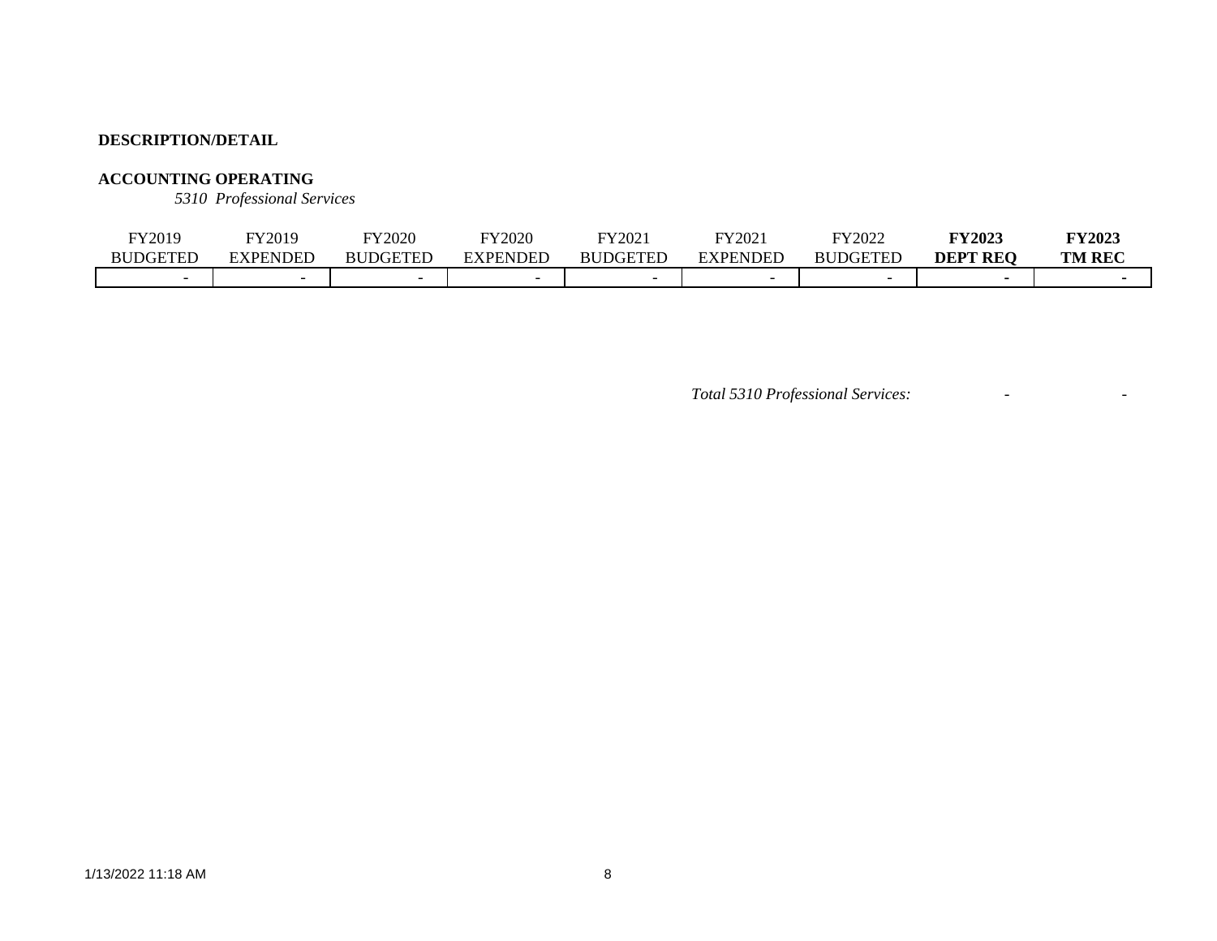# **ACCOUNTING OPERATING**

*5310 Professional Services*

| FY2019          | FY2019          | FY2020                   | FY2020                   | FY202.          | FY2021          | FY2022                   | <b>FY2023</b>   | <b>FY2023</b> |
|-----------------|-----------------|--------------------------|--------------------------|-----------------|-----------------|--------------------------|-----------------|---------------|
| <b>BUDGETED</b> | <b>EXPENDED</b> | <b>BUDGETED</b>          | <b>XPENDEL</b>           | <b>BUDGETED</b> | <b>EXPENDED</b> | <b>DGETED</b><br>BUI     | <b>DEPT REO</b> | <b>TM REC</b> |
|                 |                 | $\overline{\phantom{0}}$ | $\overline{\phantom{0}}$ |                 |                 | $\overline{\phantom{0}}$ |                 |               |

*Total 5310 Professional Services:* - -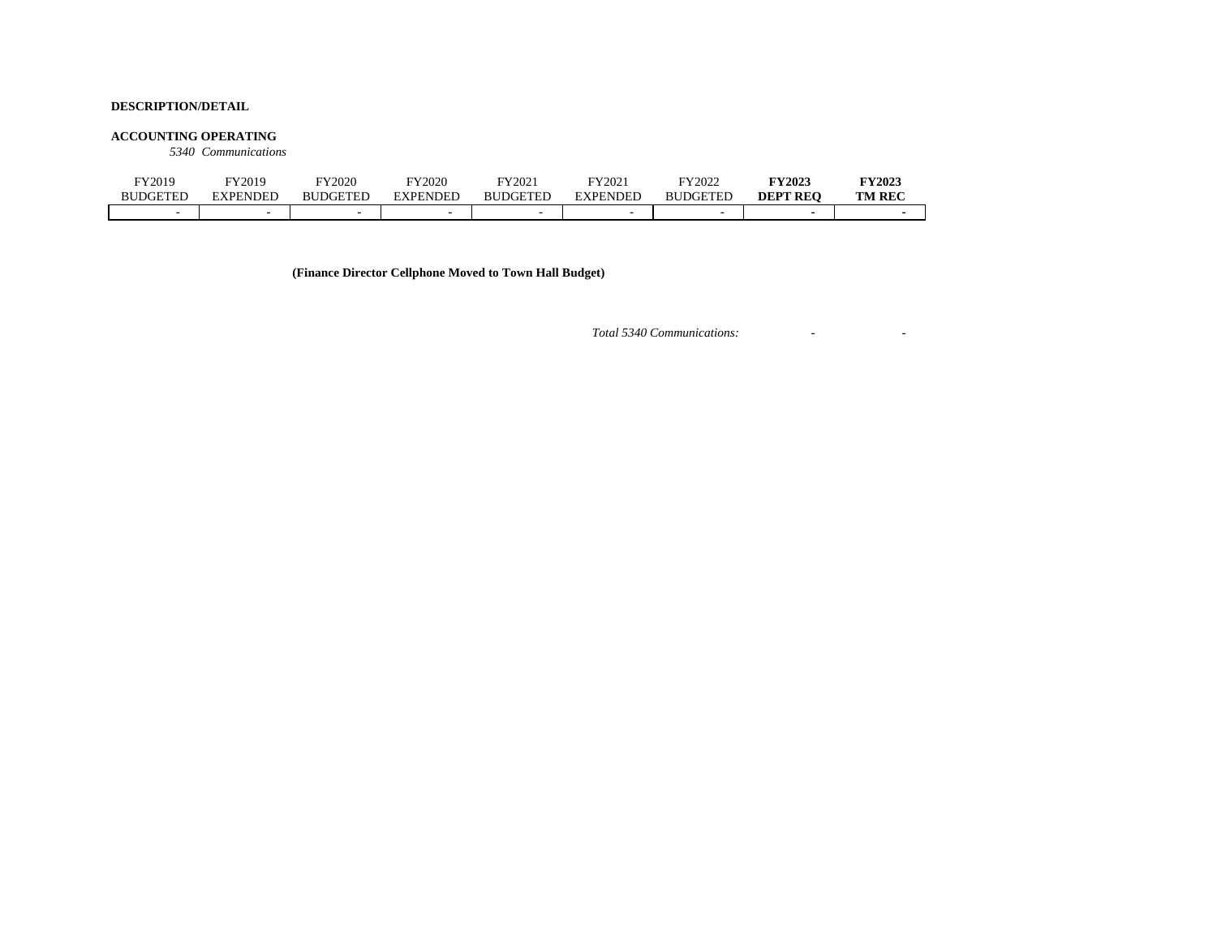#### **ACCOUNTING OPERATING**

*5340 Communications*

| FY2019   | FY2019          | FY2020          | FY2020                   | FY2021          | FY2021   | FY2022          | <b>FY2023</b>   | <b>FY2023</b> |
|----------|-----------------|-----------------|--------------------------|-----------------|----------|-----------------|-----------------|---------------|
| BUDGETED | <b>EXPENDED</b> | <b>BUDGETED</b> | <b>EXPENDED</b>          | <b>BUDGETEL</b> | EXPENDED | <b>BUDGETED</b> | <b>DEPT REO</b> | <b>TM REC</b> |
| -        |                 |                 | $\overline{\phantom{a}}$ |                 |          |                 |                 |               |

**(Finance Director Cellphone Moved to Town Hall Budget)**

*Total 5340 Communications:* - -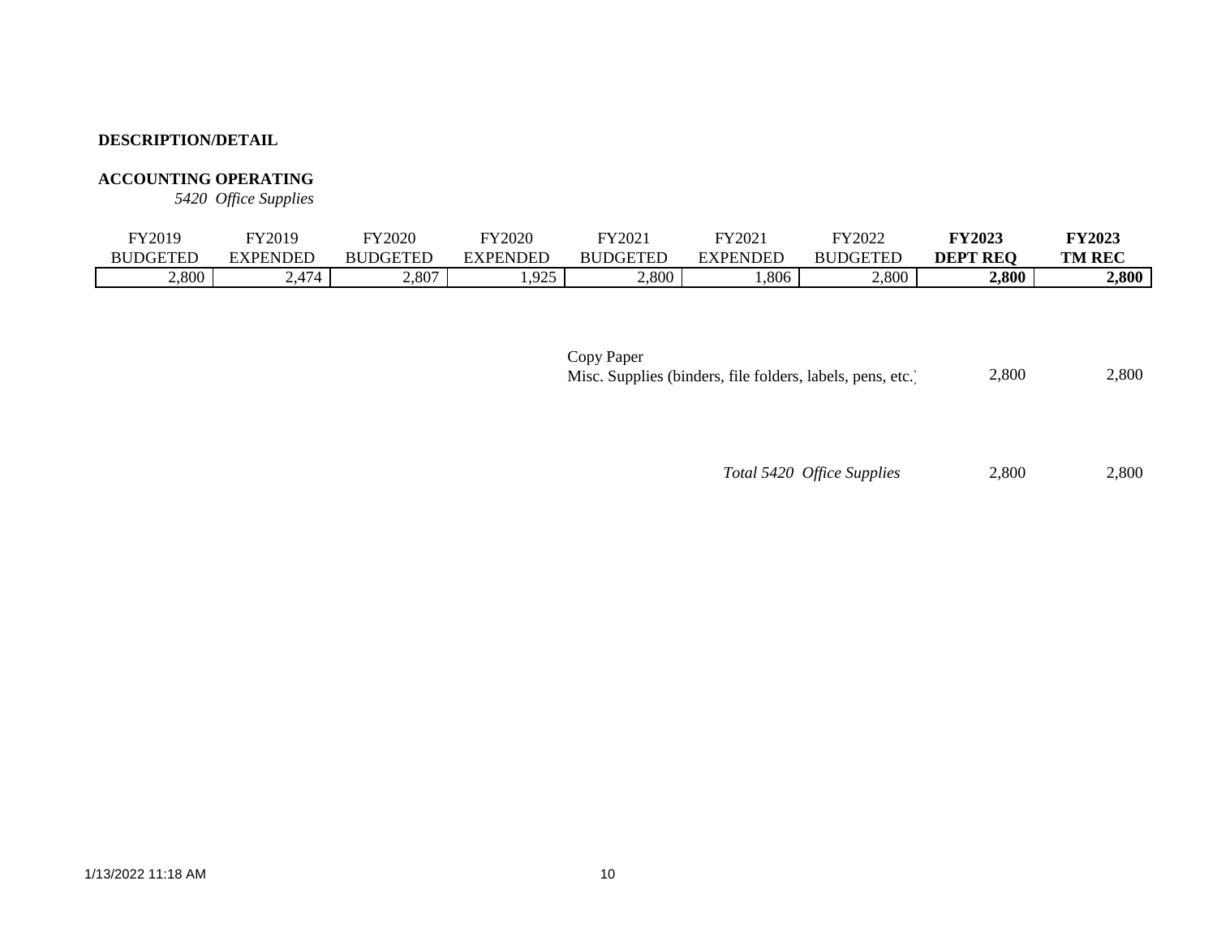# **ACCOUNTING OPERATING**

*5420 Office Supplies*

| FY2019   | FY2019                                              | FY2020          | FY2020       | FY2021          | FY202    | FY2022          | <b>FY2023</b>   | <b>FY2023</b> |
|----------|-----------------------------------------------------|-----------------|--------------|-----------------|----------|-----------------|-----------------|---------------|
| BUDGETED | EXPENDED                                            | <b>BUDGETED</b> | ENDEE<br>'DF | <b>BUDGETED</b> | EXPENDED | <b>BUDGETED</b> | <b>DEPT REO</b> | <b>TM REC</b> |
| 2,800    | $\overline{A}$<br>$\sim$ .4 $^{\prime}$ $^{\prime}$ | 2,807           | ,925         | 2,800           | 1,806    | 2,800           | 2,800           | 2,800         |

| Copy Paper                                                 |       |       |
|------------------------------------------------------------|-------|-------|
| Misc. Supplies (binders, file folders, labels, pens, etc.) | 2.800 | 2,800 |

# *Total 5420 Office Supplies* 2,800 2,800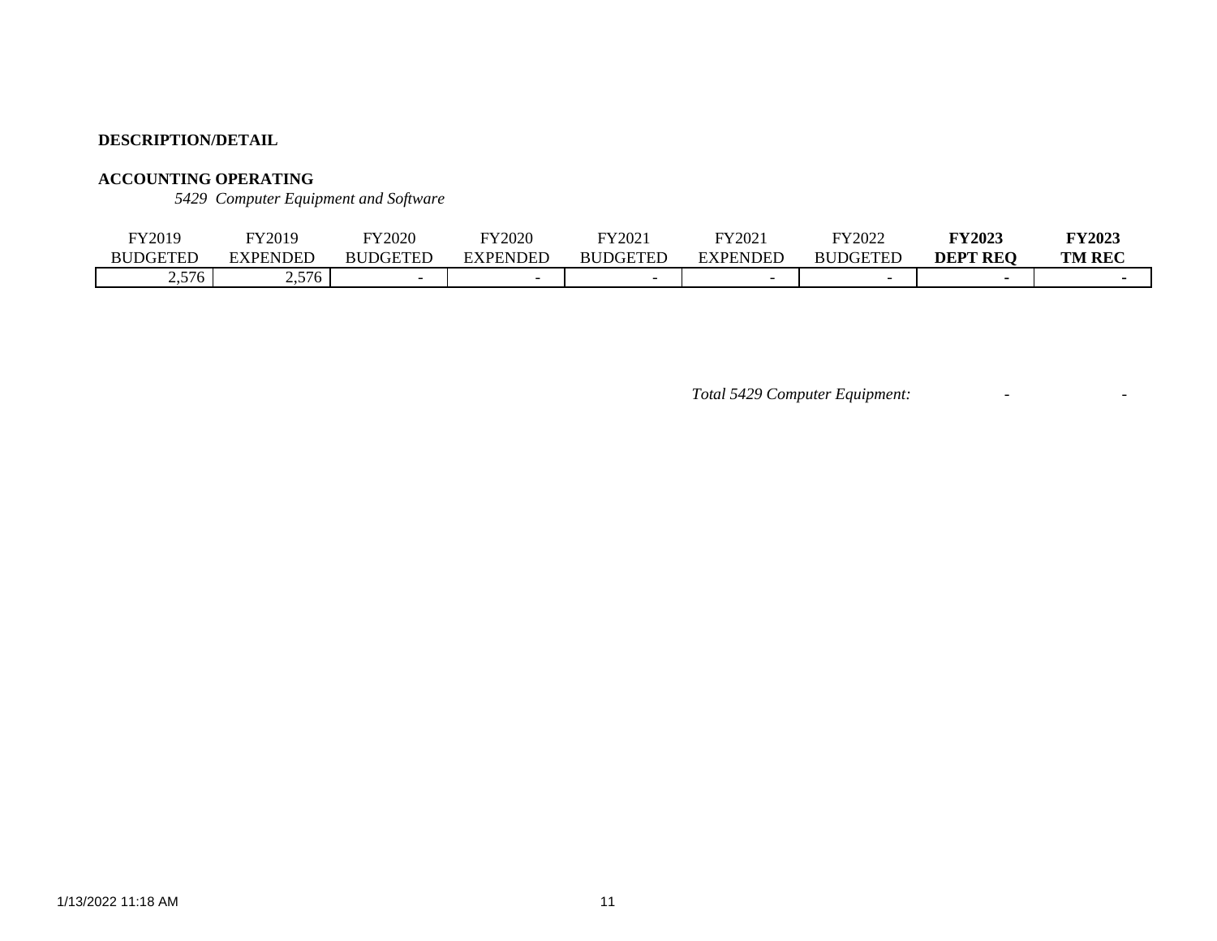# **ACCOUNTING OPERATING**

*5429 Computer Equipment and Software*

| FY2019           | FY2019                    | FY2020          | FY2020                   | FY202.          | FY202           | FY2022          | $\nabla$ Y2023  | <b>FY2023</b> |
|------------------|---------------------------|-----------------|--------------------------|-----------------|-----------------|-----------------|-----------------|---------------|
| <b>BUDGETEL</b>  | EXPENDED                  | <b>BUDGETED</b> | NDEL:<br>FYDF            | <b>RUDGETED</b> | <b>EXPENDED</b> | <b>BUDGETED</b> | <b>DEPT REO</b> | <b>TM REC</b> |
| .576<br><u>_</u> | 57 <sub>6</sub><br>$\sim$ |                 | $\overline{\phantom{0}}$ |                 |                 |                 |                 |               |

*Total 5429 Computer Equipment:* - -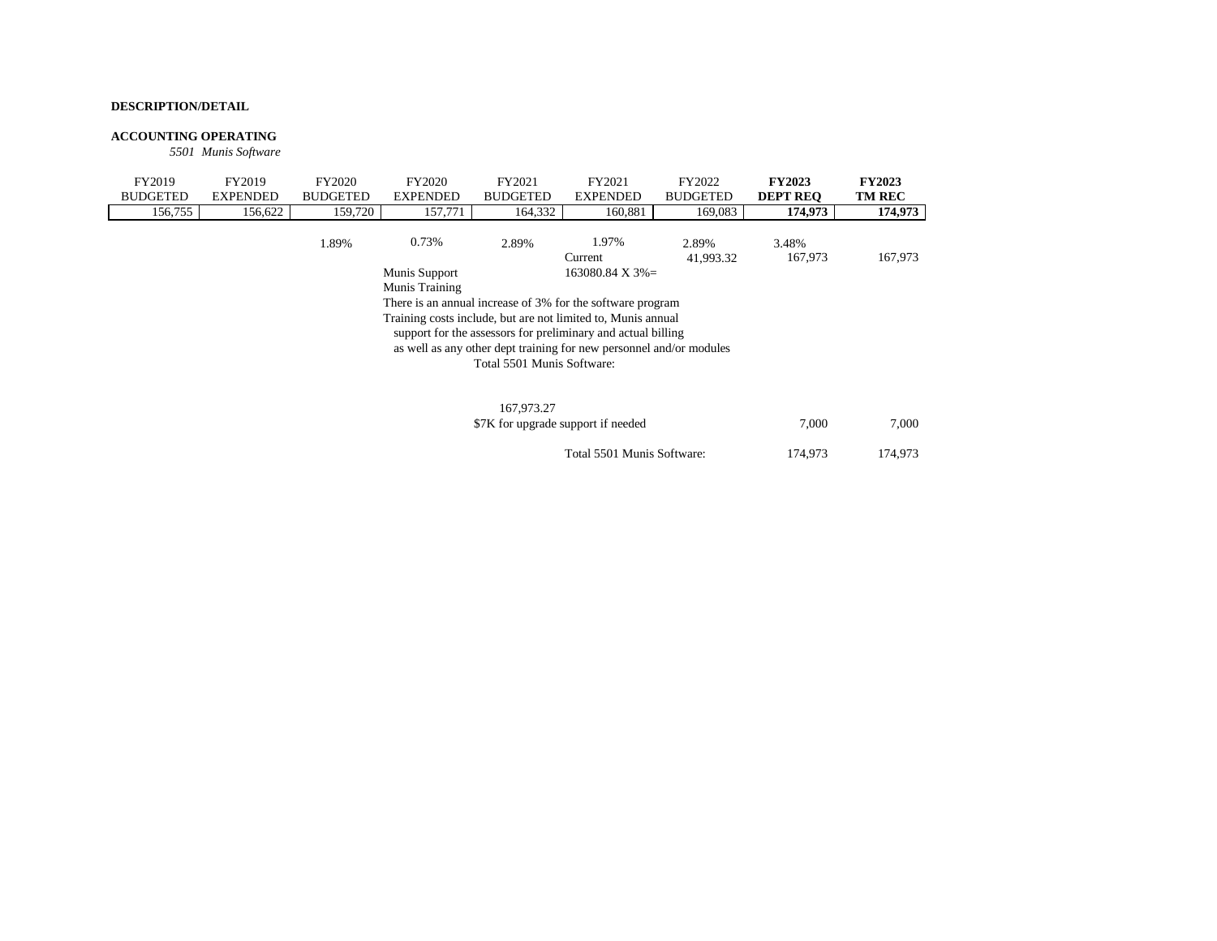#### **ACCOUNTING OPERATING**

*5501 Munis Software*

| FY2019                                                                                                                                                                                              | FY2019          | FY2020          | FY2020                                                     | FY2021                     | FY2021                       | FY2022             | <b>FY2023</b>    | <b>FY2023</b> |  |  |  |
|-----------------------------------------------------------------------------------------------------------------------------------------------------------------------------------------------------|-----------------|-----------------|------------------------------------------------------------|----------------------------|------------------------------|--------------------|------------------|---------------|--|--|--|
| <b>BUDGETED</b>                                                                                                                                                                                     | <b>EXPENDED</b> | <b>BUDGETED</b> | <b>EXPENDED</b>                                            | <b>BUDGETED</b>            | <b>EXPENDED</b>              | <b>BUDGETED</b>    | <b>DEPT REO</b>  | <b>TM REC</b> |  |  |  |
| 156,755                                                                                                                                                                                             | 156,622         | 159,720         | 157,771                                                    | 164.332                    | 160.881                      | 169,083            | 174,973          | 174,973       |  |  |  |
|                                                                                                                                                                                                     |                 | 1.89%           | 0.73%                                                      | 2.89%                      | 1.97%<br>Current             | 2.89%<br>41,993.32 | 3.48%<br>167,973 | 167,973       |  |  |  |
|                                                                                                                                                                                                     |                 |                 | Munis Support                                              |                            | $163080.84 \text{ X } 3\% =$ |                    |                  |               |  |  |  |
|                                                                                                                                                                                                     |                 |                 | Munis Training                                             |                            |                              |                    |                  |               |  |  |  |
|                                                                                                                                                                                                     |                 |                 | There is an annual increase of 3% for the software program |                            |                              |                    |                  |               |  |  |  |
| Training costs include, but are not limited to, Munis annual<br>support for the assessors for preliminary and actual billing<br>as well as any other dept training for new personnel and/or modules |                 |                 |                                                            |                            |                              |                    |                  |               |  |  |  |
|                                                                                                                                                                                                     |                 |                 |                                                            | Total 5501 Munis Software: |                              |                    |                  |               |  |  |  |
|                                                                                                                                                                                                     |                 |                 |                                                            |                            |                              |                    |                  |               |  |  |  |
|                                                                                                                                                                                                     | 167.973.27      |                 |                                                            |                            |                              |                    |                  |               |  |  |  |

| 167,973.27<br>\$7K for upgrade support if needed | 7.000   | 7.000   |
|--------------------------------------------------|---------|---------|
| Total 5501 Munis Software:                       | 174.973 | 174.973 |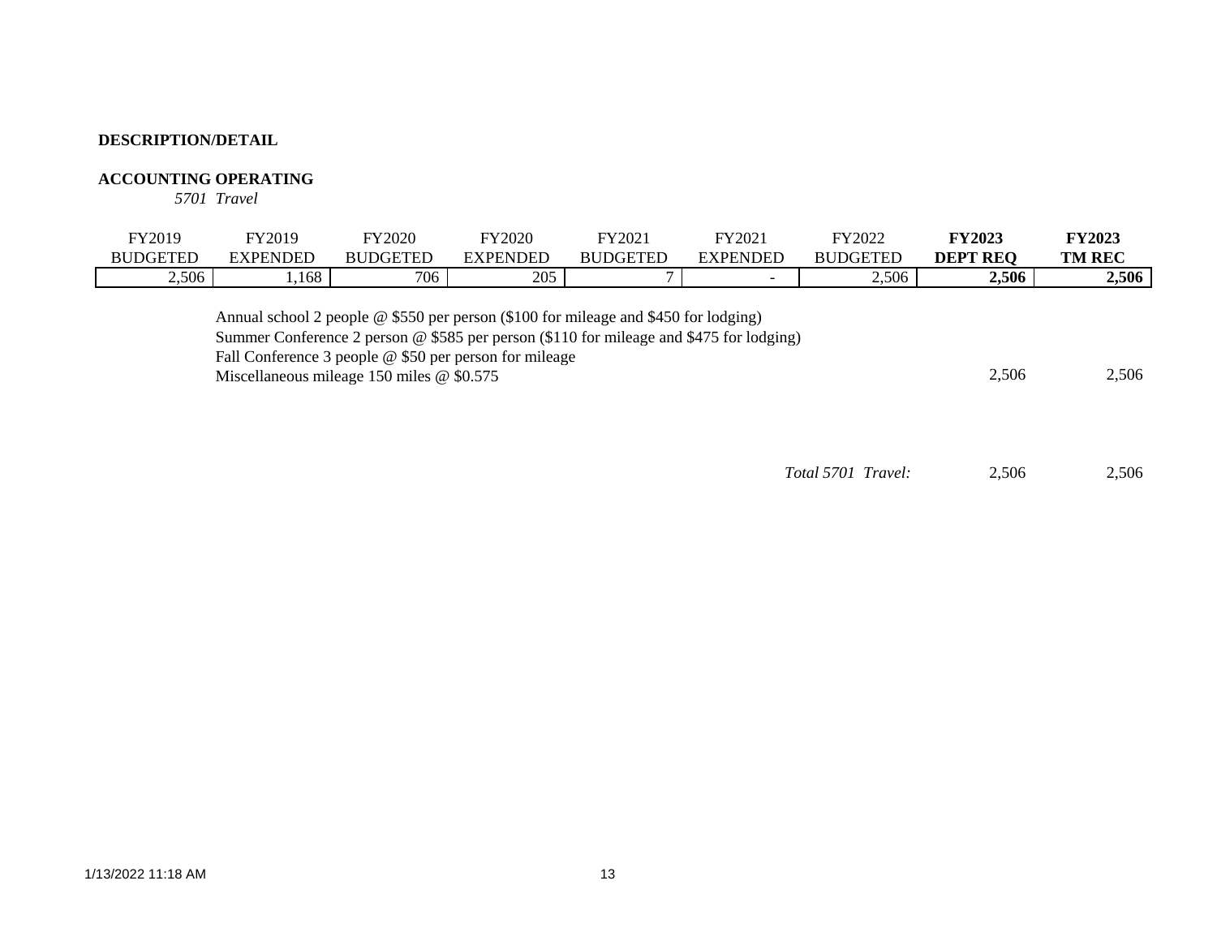### **ACCOUNTING OPERATING**

*5701 Travel*

| FY2019          | FY2019   | <b>FY2020</b>   | <b>FY2020</b> | TY2021          | FY2021   | FY2022          | <b>FY2023</b>             | <b>FY2023</b> |
|-----------------|----------|-----------------|---------------|-----------------|----------|-----------------|---------------------------|---------------|
| <b>BUDGETED</b> | EXPENDED | <b>BUDGETED</b> | EXPENDED      | <b>BUDGETED</b> | EXPENDED | <b>BUDGETED</b> | <b>REO</b><br><b>DEPT</b> | <b>TM REC</b> |
| 2,506           | 1,168    | 706             | 205           |                 |          | 2,506           | 2,506                     | 2,506         |
|                 |          |                 |               |                 |          |                 |                           |               |

Annual school 2 people @ \$550 per person (\$100 for mileage and \$450 for lodging) Summer Conference 2 person @ \$585 per person (\$110 for mileage and \$475 for lodging) Fall Conference 3 people @ \$50 per person for mileage Miscellaneous mileage 150 miles @ \$0.575 2,506 2,506

*Total 5701 Travel:* 2,506 2,506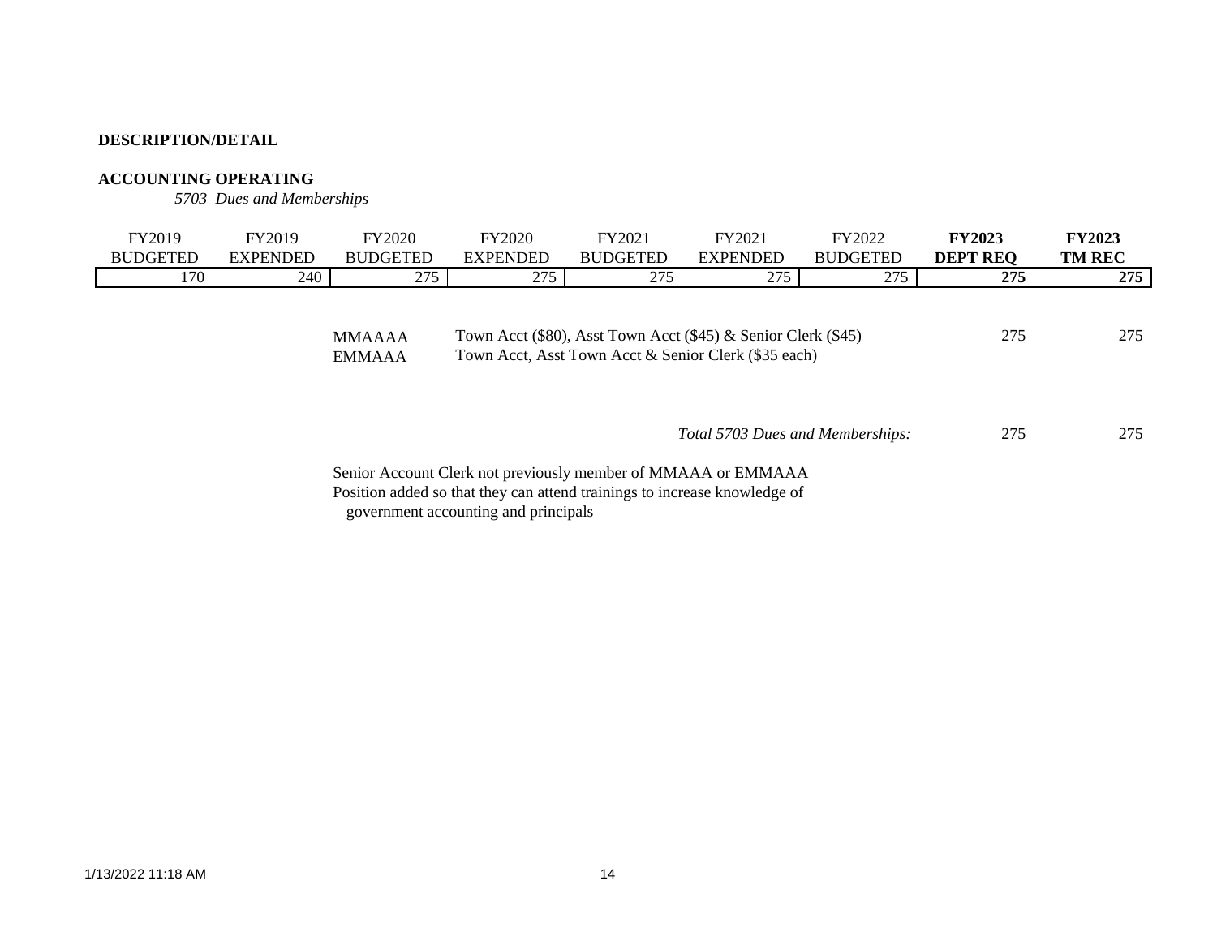# **ACCOUNTING OPERATING**

*5703 Dues and Memberships*

| <b>FY2019</b><br><b>BUDGETED</b> | FY2019<br><b>EXPENDED</b> | <b>FY2020</b><br><b>BUDGETED</b> | <b>FY2020</b><br><b>EXPENDED</b> | FY2021<br><b>BUDGETED</b>                                                                                                | FY2021<br><b>EXPENDED</b> | FY2022<br><b>BUDGETED</b> | <b>FY2023</b><br><b>DEPT REQ</b> | <b>FY2023</b><br><b>TM REC</b> |
|----------------------------------|---------------------------|----------------------------------|----------------------------------|--------------------------------------------------------------------------------------------------------------------------|---------------------------|---------------------------|----------------------------------|--------------------------------|
| 170                              | 240                       | 275                              | 275                              | 275                                                                                                                      | 275                       | 275                       | 275                              | 275                            |
|                                  |                           | <b>MMAAAA</b><br><b>EMMAAA</b>   |                                  | Town Acct (\$80), Asst Town Acct (\$45) $\&$ Senior Clerk (\$45)<br>Town Acct, Asst Town Acct & Senior Clerk (\$35 each) |                           |                           | 275                              | 275                            |

 275 275 *Total 5703 Dues and Memberships:*

Senior Account Clerk not previously member of MMAAA or EMMAAA Position added so that they can attend trainings to increase knowledge of government accounting and principals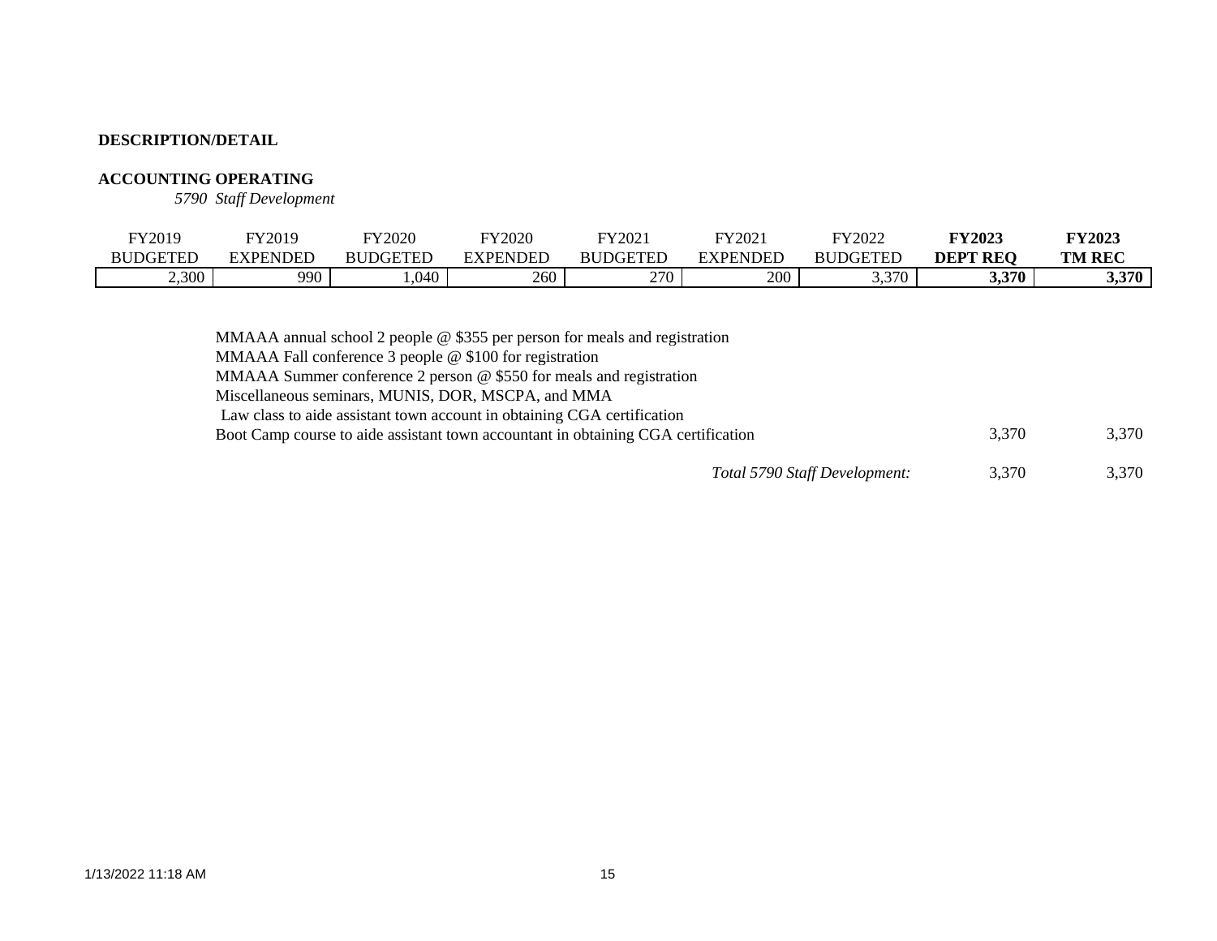# **ACCOUNTING OPERATING**

*5790 Staff Development*

| FY2019          | FY2019          | FY2020          | FY2020          | FY2021          | FY2021          | FY2022          | <b>FY2023</b>      | <b>FY2023</b> |
|-----------------|-----------------|-----------------|-----------------|-----------------|-----------------|-----------------|--------------------|---------------|
| <b>BUDGETED</b> | <b>EXPENDED</b> | <b>BUDGETED</b> | <b>EXPENDED</b> | <b>BUDGETED</b> | <b>EXPENDED</b> | <b>BUDGETED</b> | DEPT<br><b>REO</b> | <b>TM REC</b> |
| 2,300           | 990             | ,040            | 260             | 270             | 200             | 3,370<br>. ب ب  | 3,370              | 3,370         |

| MMAAA annual school 2 people $@$ \$355 per person for meals and registration      |       |       |
|-----------------------------------------------------------------------------------|-------|-------|
| MMAAA Fall conference 3 people $@$ \$100 for registration                         |       |       |
| MMAAA Summer conference 2 person @ \$550 for meals and registration               |       |       |
| Miscellaneous seminars, MUNIS, DOR, MSCPA, and MMA                                |       |       |
| Law class to aide assistant town account in obtaining CGA certification           |       |       |
| Boot Camp course to aide assistant town accountant in obtaining CGA certification | 3.370 | 3,370 |
|                                                                                   |       |       |

*Total 5790 Staff Development:* 3,370 3,370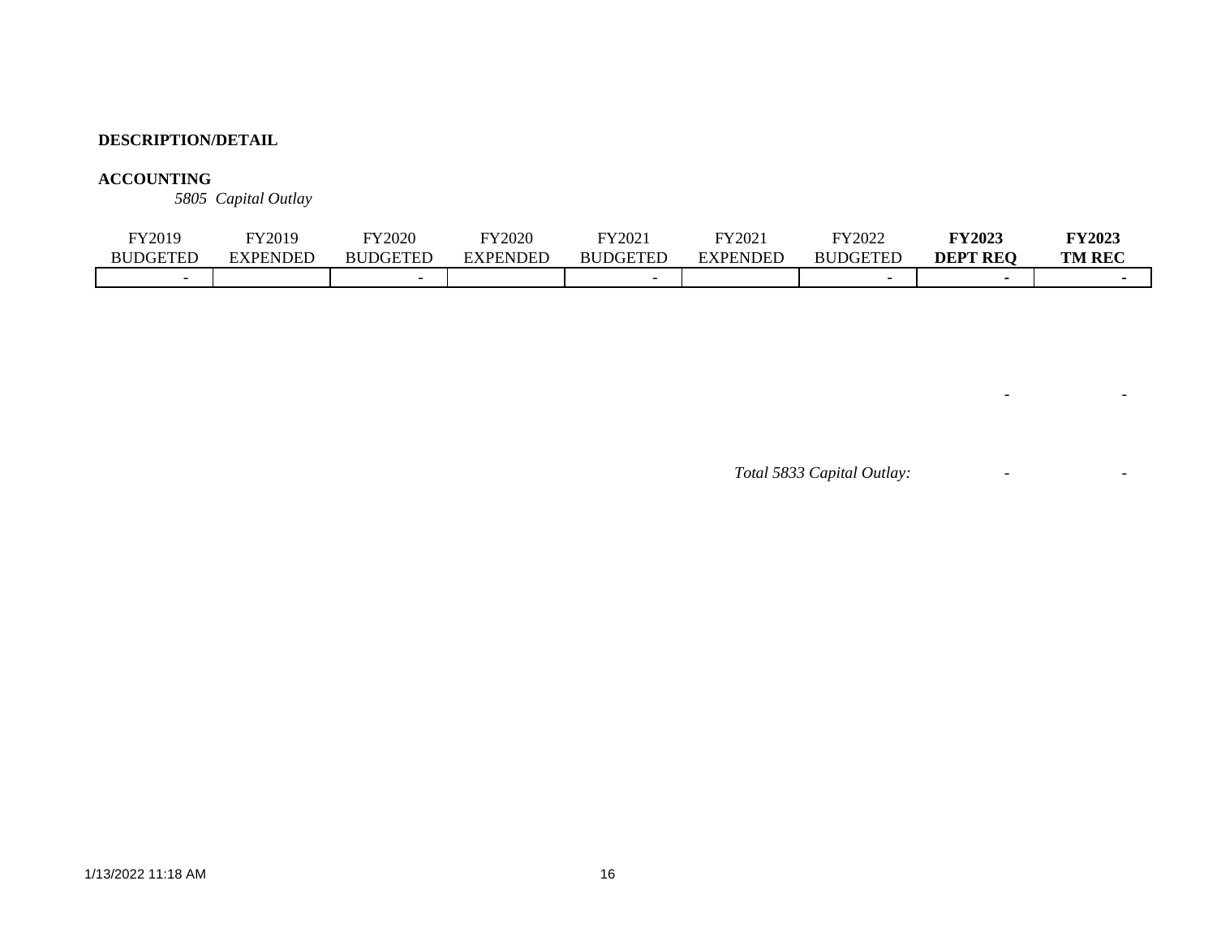# **ACCOUNTING**

*5805 Capital Outlay*

| FY2019                   | FY2019   | FY2020          | TY2020   | FY2021          | FY2021          | FY2022          | <b>FY2023</b>   | <b>FY2023</b> |
|--------------------------|----------|-----------------|----------|-----------------|-----------------|-----------------|-----------------|---------------|
| <b>BUDGETED</b>          | EXPENDED | <b>BUDGETED</b> | EXPENDED | <b>BUDGETED</b> | <b>EXPENDED</b> | <b>BUDGETED</b> | <b>DEPT REO</b> | <b>TM REC</b> |
| $\overline{\phantom{0}}$ |          |                 |          |                 |                 |                 |                 |               |

*Total 5833 Capital Outlay:* - -

- - - - - - - - - - - - -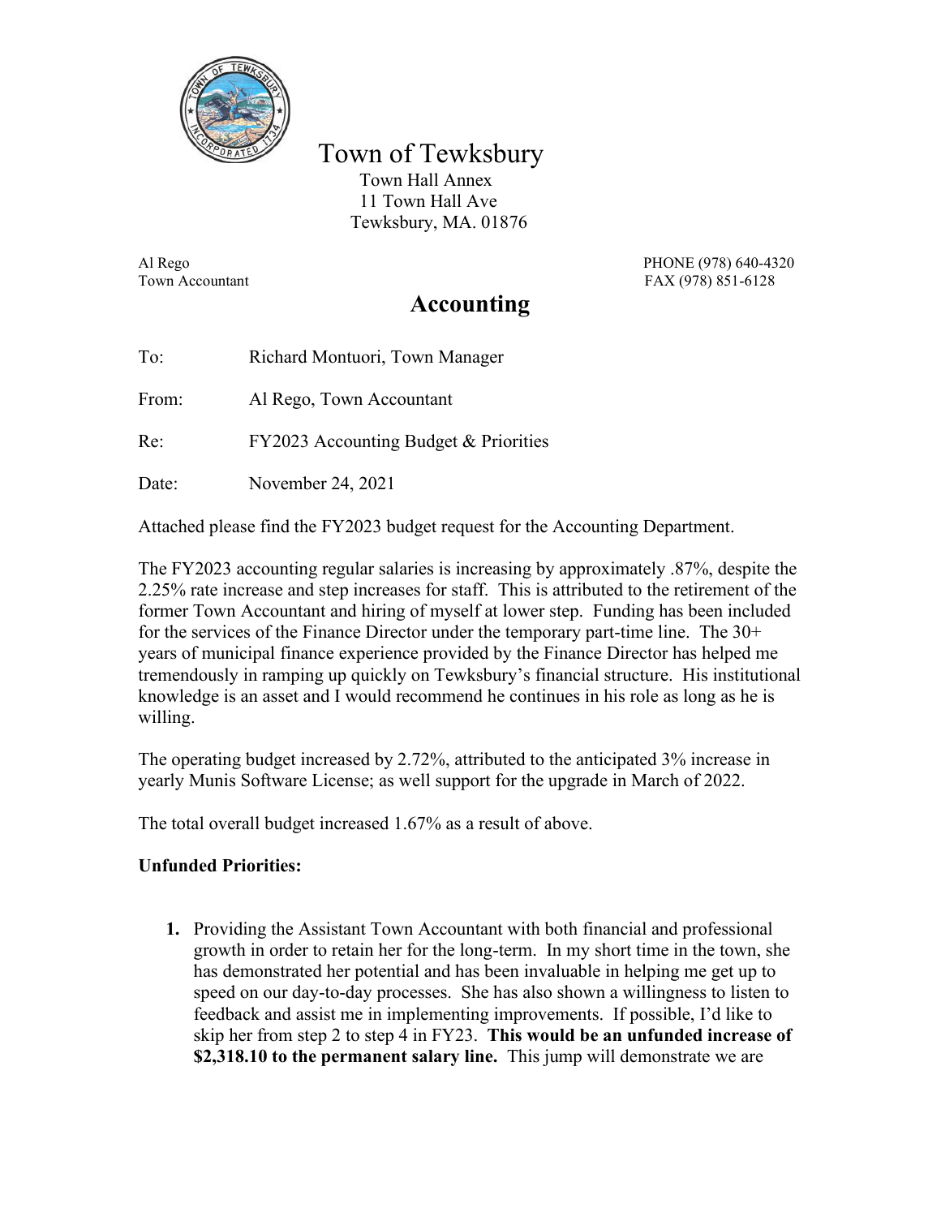

 Town of Tewksbury Town Hall Annex 11 Town Hall Ave Tewksbury, MA. 01876

Al Rego PHONE (978) 640-4320 Town Accountant FAX (978) 851-6128

# **Accounting**

To: Richard Montuori, Town Manager From: Al Rego, Town Accountant Re: FY2023 Accounting Budget & Priorities Date: November 24, 2021

Attached please find the FY2023 budget request for the Accounting Department.

The FY2023 accounting regular salaries is increasing by approximately .87%, despite the 2.25% rate increase and step increases for staff. This is attributed to the retirement of the former Town Accountant and hiring of myself at lower step. Funding has been included for the services of the Finance Director under the temporary part-time line. The 30+ years of municipal finance experience provided by the Finance Director has helped me tremendously in ramping up quickly on Tewksbury's financial structure. His institutional knowledge is an asset and I would recommend he continues in his role as long as he is willing.

The operating budget increased by 2.72%, attributed to the anticipated 3% increase in yearly Munis Software License; as well support for the upgrade in March of 2022.

The total overall budget increased 1.67% as a result of above.

# **Unfunded Priorities:**

**1.** Providing the Assistant Town Accountant with both financial and professional growth in order to retain her for the long-term. In my short time in the town, she has demonstrated her potential and has been invaluable in helping me get up to speed on our day-to-day processes. She has also shown a willingness to listen to feedback and assist me in implementing improvements. If possible, I'd like to skip her from step 2 to step 4 in FY23. **This would be an unfunded increase of \$2,318.10 to the permanent salary line.** This jump will demonstrate we are